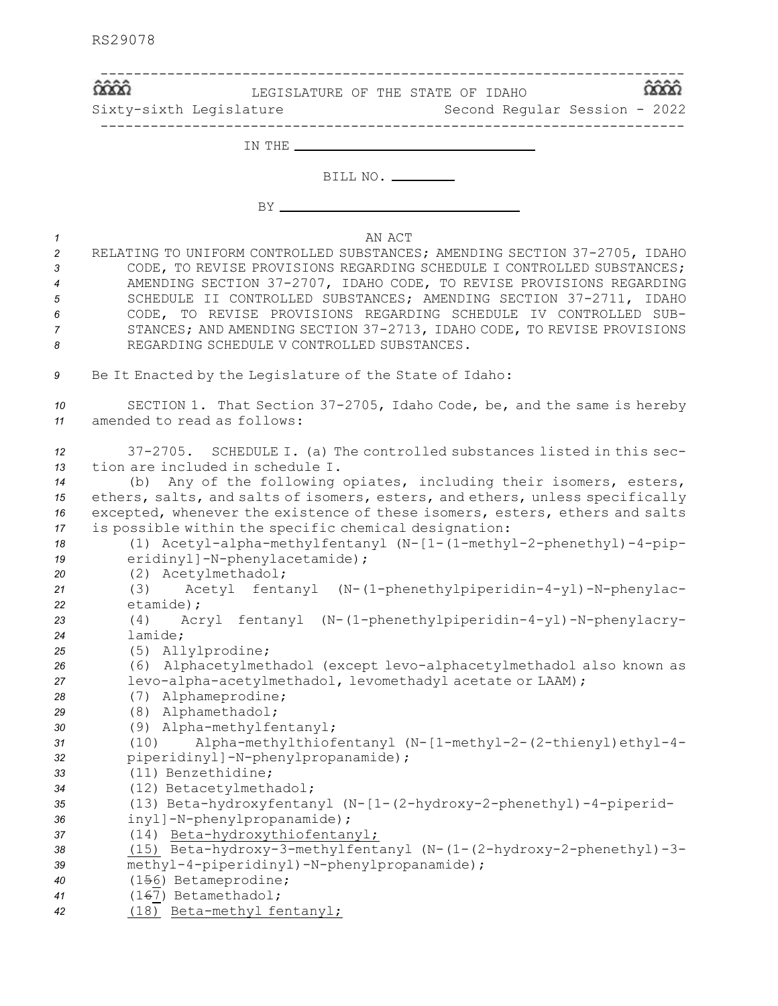|                                                    | LEGISLATURE OF THE STATE OF IDAHO<br>Sixty-sixth Legislature<br>Second Regular Session - 2022                                                                                                                                                                                                                                                                                                                                                                                                                                              |
|----------------------------------------------------|--------------------------------------------------------------------------------------------------------------------------------------------------------------------------------------------------------------------------------------------------------------------------------------------------------------------------------------------------------------------------------------------------------------------------------------------------------------------------------------------------------------------------------------------|
|                                                    |                                                                                                                                                                                                                                                                                                                                                                                                                                                                                                                                            |
|                                                    | BILL NO. ________                                                                                                                                                                                                                                                                                                                                                                                                                                                                                                                          |
|                                                    |                                                                                                                                                                                                                                                                                                                                                                                                                                                                                                                                            |
|                                                    | AN ACT<br>RELATING TO UNIFORM CONTROLLED SUBSTANCES; AMENDING SECTION 37-2705, IDAHO<br>CODE, TO REVISE PROVISIONS REGARDING SCHEDULE I CONTROLLED SUBSTANCES;<br>AMENDING SECTION 37-2707, IDAHO CODE, TO REVISE PROVISIONS REGARDING<br>SCHEDULE II CONTROLLED SUBSTANCES; AMENDING SECTION 37-2711, IDAHO<br>CODE, TO REVISE PROVISIONS REGARDING SCHEDULE IV CONTROLLED SUB-<br>STANCES; AND AMENDING SECTION 37-2713, IDAHO CODE, TO REVISE PROVISIONS<br>REGARDING SCHEDULE V CONTROLLED SUBSTANCES.                                 |
|                                                    | Be It Enacted by the Legislature of the State of Idaho:                                                                                                                                                                                                                                                                                                                                                                                                                                                                                    |
| 10<br>11                                           | SECTION 1. That Section 37-2705, Idaho Code, be, and the same is hereby<br>amended to read as follows:                                                                                                                                                                                                                                                                                                                                                                                                                                     |
| 12<br>13<br>14<br>15<br>16<br>17<br>18<br>19<br>20 | 37-2705. SCHEDULE I. (a) The controlled substances listed in this sec-<br>tion are included in schedule I.<br>Any of the following opiates, including their isomers, esters,<br>(b)<br>ethers, salts, and salts of isomers, esters, and ethers, unless specifically<br>excepted, whenever the existence of these isomers, esters, ethers and salts<br>is possible within the specific chemical designation:<br>(1) Acetyl-alpha-methylfentanyl (N-[1-(1-methyl-2-phenethyl)-4-pip-<br>eridinyl]-N-phenylacetamide);<br>(2) Acetylmethadol; |
| 21<br>22                                           | (3) Acetyl fentanyl (N-(1-phenethylpiperidin-4-yl)-N-phenylac-<br>etamide);                                                                                                                                                                                                                                                                                                                                                                                                                                                                |
| 23<br>24<br>25                                     | (4) Acryl fentanyl (N-(1-phenethylpiperidin-4-yl)-N-phenylacry-<br>lamide:<br>(5) Allylprodine;                                                                                                                                                                                                                                                                                                                                                                                                                                            |
| 26                                                 | (6) Alphacetylmethadol (except levo-alphacetylmethadol also known as<br>levo-alpha-acetylmethadol, levomethadyl acetate or LAAM);<br>(7) Alphameprodine;<br>(8) Alphamethadol;                                                                                                                                                                                                                                                                                                                                                             |
|                                                    | (9) Alpha-methylfentanyl;<br>Alpha-methylthiofentanyl (N-[1-methyl-2-(2-thienyl)ethyl-4-<br>(10)<br>piperidinyl]-N-phenylpropanamide);<br>(11) Benzethidine;                                                                                                                                                                                                                                                                                                                                                                               |
|                                                    | (12) Betacetylmethadol;<br>(13) Beta-hydroxyfentanyl (N-[1-(2-hydroxy-2-phenethyl)-4-piperid-<br>inyl]-N-phenylpropanamide);<br>(14) Beta-hydroxythiofentanyl;                                                                                                                                                                                                                                                                                                                                                                             |
|                                                    | (15) Beta-hydroxy-3-methylfentanyl (N- $(1-(2-hydroxy-2-phenethyl)-3-$<br>methyl-4-piperidinyl)-N-phenylpropanamide);<br>(156) Betameprodine;                                                                                                                                                                                                                                                                                                                                                                                              |
| 40<br>41<br>42                                     | (167) Betamethadol;<br>(18) Beta-methyl fentanyl;                                                                                                                                                                                                                                                                                                                                                                                                                                                                                          |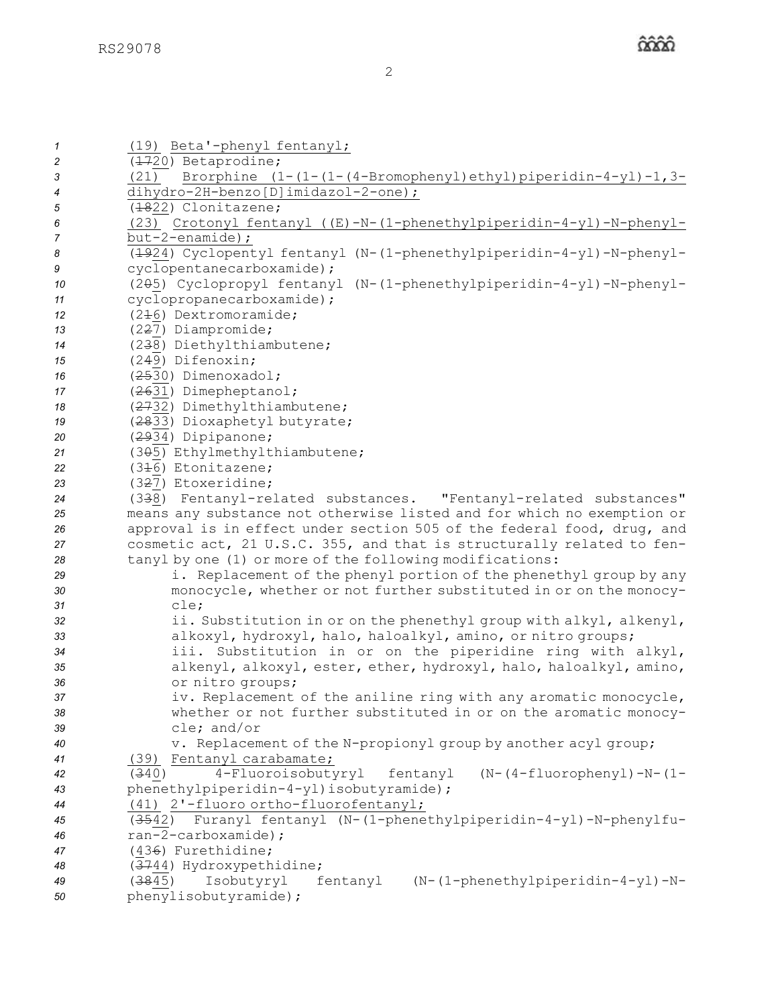| $\mathcal I$ | (19) Beta'-phenyl fentanyl;                                                                  |
|--------------|----------------------------------------------------------------------------------------------|
| 2            | (1720) Betaprodine;                                                                          |
| 3            | (21) Brorphine $(1-(1-(4-Bromopheny1)ethyl)piperidin-4-yl)-1,3-$                             |
| 4            | dihydro-2H-benzo[D]imidazol-2-one);                                                          |
| 5            | (1822) Clonitazene;                                                                          |
| 6            | (23) Crotonyl fentanyl ((E)-N-(1-phenethylpiperidin-4-yl)-N-phenyl-                          |
| 7            | $but -2$ -enamide);                                                                          |
| 8            | (1924) Cyclopentyl fentanyl (N-(1-phenethylpiperidin-4-yl)-N-phenyl-                         |
| 9            | cyclopentanecarboxamide);                                                                    |
| 10           | (205) Cyclopropyl fentanyl (N-(1-phenethylpiperidin-4-yl)-N-phenyl-                          |
| 11           | cyclopropanecarboxamide);                                                                    |
| 12           | $(2+6)$ Dextromoramide;                                                                      |
| 13           | (2 <del>2</del> 7) Diampromide;                                                              |
| 14           | (238) Diethylthiambutene;                                                                    |
| 15           | (249) Difenoxin;                                                                             |
| 16           | (2530) Dimenoxadol;                                                                          |
| 17           | (2631) Dimepheptanol;                                                                        |
| 18           | (2732) Dimethylthiambutene;                                                                  |
| 19           | (2833) Dioxaphetyl butyrate;                                                                 |
| 20           | (2934) Dipipanone;                                                                           |
| 21           | (305) Ethylmethylthiambutene;                                                                |
| 22           | (346) Etonitazene;                                                                           |
| 23           | (327) Etoxeridine;                                                                           |
| 24           | (338) Fentanyl-related substances. "Fentanyl-related substances"                             |
| 25           | means any substance not otherwise listed and for which no exemption or                       |
| 26           | approval is in effect under section 505 of the federal food, drug, and                       |
| 27           | cosmetic act, 21 U.S.C. 355, and that is structurally related to fen-                        |
| 28           | tanyl by one (1) or more of the following modifications:                                     |
| 29           | i. Replacement of the phenyl portion of the phenethyl group by any                           |
| 30           | monocycle, whether or not further substituted in or on the monocy-                           |
| 31           | cle;                                                                                         |
| 32           | ii. Substitution in or on the phenethyl group with alkyl, alkenyl,                           |
| 33           | alkoxyl, hydroxyl, halo, haloalkyl, amino, or nitro groups;                                  |
| 34           | iii. Substitution in or on the piperidine ring with alkyl,                                   |
| 35           | alkenyl, alkoxyl, ester, ether, hydroxyl, halo, haloalkyl, amino,                            |
| 36           | or nitro groups;                                                                             |
| 37           | iv. Replacement of the aniline ring with any aromatic monocycle,                             |
| 38           | whether or not further substituted in or on the aromatic monocy-                             |
| 39           | cle; and/or                                                                                  |
| 40           | v. Replacement of the N-propionyl group by another acyl group;                               |
| 41           | (39) Fentanyl carabamate;                                                                    |
| 42           | 4-Fluoroisobutyryl fentanyl<br>$(N-(4-fluorophenyl) - N-(1-d)$<br>(340)                      |
| 43           | phenethylpiperidin-4-yl)isobutyramide);                                                      |
| 44           | (41) 2'-fluoro ortho-fluorofentanyl;                                                         |
| 45           | Furanyl fentanyl (N-(1-phenethylpiperidin-4-yl)-N-phenylfu-<br>(3542)<br>ran-2-carboxamide); |
| 46<br>47     | (436) Furethidine;                                                                           |
| 48           | (3744) Hydroxypethidine;                                                                     |
| 49           | (3845)<br>Isobutyryl<br>fentanyl (N-(1-phenethylpiperidin-4-yl)-N-                           |
| 50           | phenylisobutyramide);                                                                        |
|              |                                                                                              |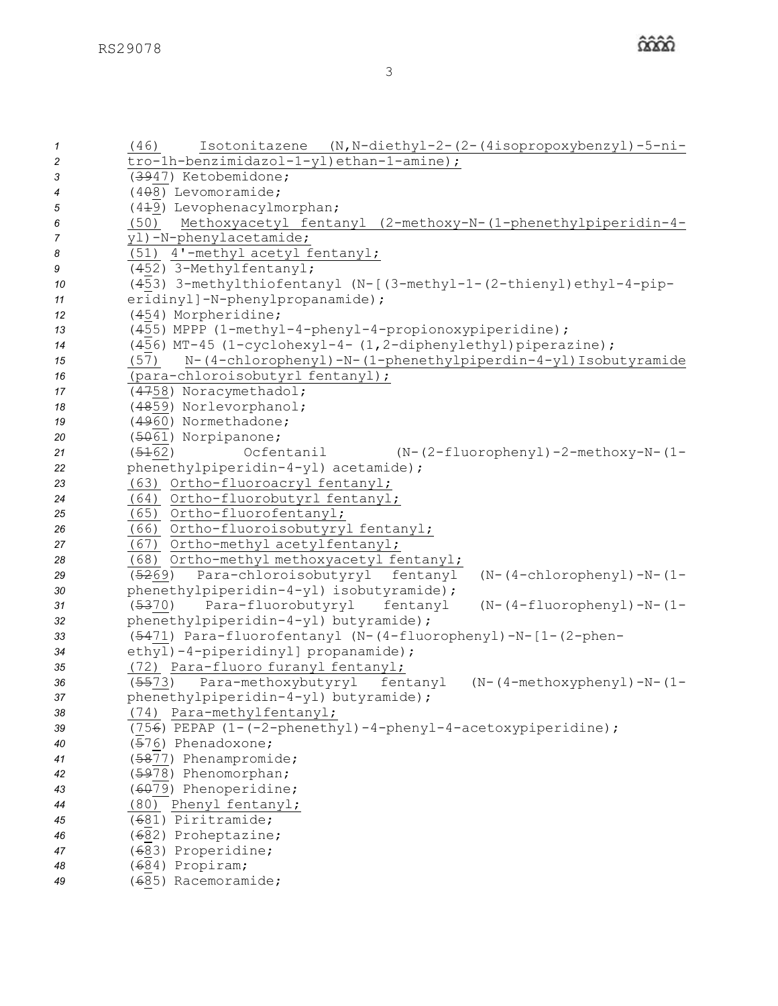| $\mathbf{1}$   | Isotonitazene (N, N-diethyl-2-(2-(4isopropoxybenzyl)-5-ni-<br>(46)        |
|----------------|---------------------------------------------------------------------------|
| $\overline{c}$ | tro-1h-benzimidazol-1-yl)ethan-1-amine);                                  |
| 3              | (3947) Ketobemidone;                                                      |
| 4              | $(4\theta8)$ Levomoramide;                                                |
| $\sqrt{5}$     | (449) Levophenacylmorphan;                                                |
| 6              | (50) Methoxyacetyl fentanyl (2-methoxy-N-(1-phenethylpiperidin-4-         |
| $\overline{7}$ | yl)-N-phenylacetamide;                                                    |
| 8              | (51) 4'-methyl acetyl fentanyl;                                           |
| 9              | (452) 3-Methylfentanyl;                                                   |
| 10             | (453) 3-methylthiofentanyl (N-[(3-methyl-1-(2-thienyl)ethyl-4-pip-        |
| 11             | eridinyl]-N-phenylpropanamide);                                           |
| 12             | (454) Morpheridine;                                                       |
| 13             | (455) MPPP (1-methyl-4-phenyl-4-propionoxypiperidine);                    |
| 14             | (456) MT-45 (1-cyclohexyl-4- (1,2-diphenylethyl) piperazine);             |
| 15             | (57) N-(4-chlorophenyl)-N-(1-phenethylpiperdin-4-yl) Isobutyramide        |
| 16             | (para-chloroisobutyrl fentanyl);                                          |
| 17             | (4758) Noracymethadol;                                                    |
| 18             | (4859) Norlevorphanol;                                                    |
| 19             | (4960) Normethadone;                                                      |
| 20             | (5061) Norpipanone;                                                       |
| 21             | (5162)<br>Ocfentanil<br>$(N-(2-fluoropheny1)-2-methoxy-N-(1-$             |
| 22             | phenethylpiperidin-4-yl) acetamide);                                      |
| 23             | (63) Ortho-fluoroacryl fentanyl;                                          |
| 24             | (64) Ortho-fluorobutyrl fentanyl;                                         |
| 25             | (65) Ortho-fluorofentanyl;                                                |
| 26             | (66) Ortho-fluoroisobutyryl fentanyl;                                     |
| 27             | (67) Ortho-methyl acetylfentanyl;                                         |
| 28             | (68) Ortho-methyl methoxyacetyl fentanyl;                                 |
| 29             | (5269) Para-chloroisobutyryl fentanyl<br>$(N-(4-chlorophenyl) - N-(1-$    |
| 30             | phenethylpiperidin-4-yl) isobutyramide);                                  |
| 31             | Para-fluorobutyryl<br>(5370)<br>fentanyl<br>$(N-(4-fluorophenyl) - N-(1-$ |
| 32             | phenethylpiperidin-4-yl) butyramide);                                     |
| 33             | (5471) Para-fluorofentanyl (N-(4-fluorophenyl)-N-[1-(2-phen-              |
| 34             | ethyl)-4-piperidinyl] propanamide);                                       |
| 35             | (72) Para-fluoro furanyl fentanyl;                                        |
| 36             | Para-methoxybutyryl<br>fentanyl<br>$(N-(4-methoxyphenyl)-N-(1-$<br>(5573) |
| 37             | phenethylpiperidin-4-yl) butyramide);                                     |
| 38             | (74) Para-methylfentanyl;                                                 |
| 39             | (756) PEPAP (1-(-2-phenethyl)-4-phenyl-4-acetoxypiperidine);              |
| 40             | (576) Phenadoxone;                                                        |
| 41             | (5877) Phenampromide;                                                     |
| 42             | (5978) Phenomorphan;                                                      |
| 43             | (6079) Phenoperidine;                                                     |
| 44             | (80) Phenyl fentanyl;                                                     |
| 45             | ( <del>6</del> 81) Piritramide;                                           |
| 46             | ( <del>6</del> 82) Proheptazine;                                          |
|                | ( <del>6</del> 83) Properidine;                                           |
| 47             | (684) Propiram;                                                           |
| 48<br>49       | ( <del>6</del> 85) Racemoramide;                                          |
|                |                                                                           |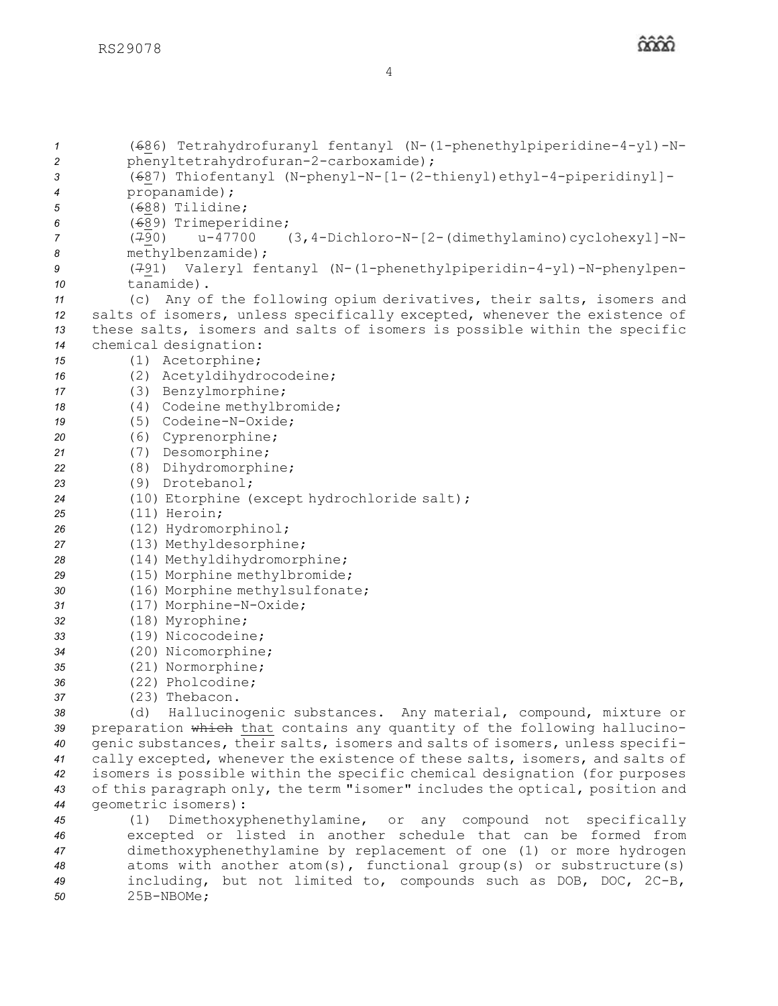(686) Tetrahydrofuranyl fentanyl (N-(1-phenethylpiperidine-4-yl)-N- phenyltetrahydrofuran-2-carboxamide); (687) Thiofentanyl (N-phenyl-N-[1-(2-thienyl)ethyl-4-piperidinyl]- propanamide); (688) Tilidine; (689) Trimeperidine; (790) u-47700 (3,4-Dichloro-N-[2-(dimethylamino)cyclohexyl]-N- methylbenzamide); (791) Valeryl fentanyl (N-(1-phenethylpiperidin-4-yl)-N-phenylpen- tanamide). (c) Any of the following opium derivatives, their salts, isomers and salts of isomers, unless specifically excepted, whenever the existence of these salts, isomers and salts of isomers is possible within the specific chemical designation: (1) Acetorphine; (2) Acetyldihydrocodeine; (3) Benzylmorphine; (4) Codeine methylbromide; (5) Codeine-N-Oxide; (6) Cyprenorphine; (7) Desomorphine; (8) Dihydromorphine; (9) Drotebanol; (10) Etorphine (except hydrochloride salt); (11) Heroin; (12) Hydromorphinol; (13) Methyldesorphine; (14) Methyldihydromorphine; (15) Morphine methylbromide; (16) Morphine methylsulfonate; (17) Morphine-N-Oxide; (18) Myrophine; (19) Nicocodeine; (20) Nicomorphine; (21) Normorphine; (22) Pholcodine; (23) Thebacon. (d) Hallucinogenic substances. Any material, compound, mixture or preparation which that contains any quantity of the following hallucino- genic substances, their salts, isomers and salts of isomers, unless specifi- cally excepted, whenever the existence of these salts, isomers, and salts of isomers is possible within the specific chemical designation (for purposes of this paragraph only, the term "isomer" includes the optical, position and geometric isomers): (1) Dimethoxyphenethylamine, or any compound not specifically excepted or listed in another schedule that can be formed from dimethoxyphenethylamine by replacement of one (1) or more hydrogen atoms with another atom(s), functional group(s) or substructure(s) including, but not limited to, compounds such as DOB, DOC, 2C-B,

*50* 25B-NBOMe;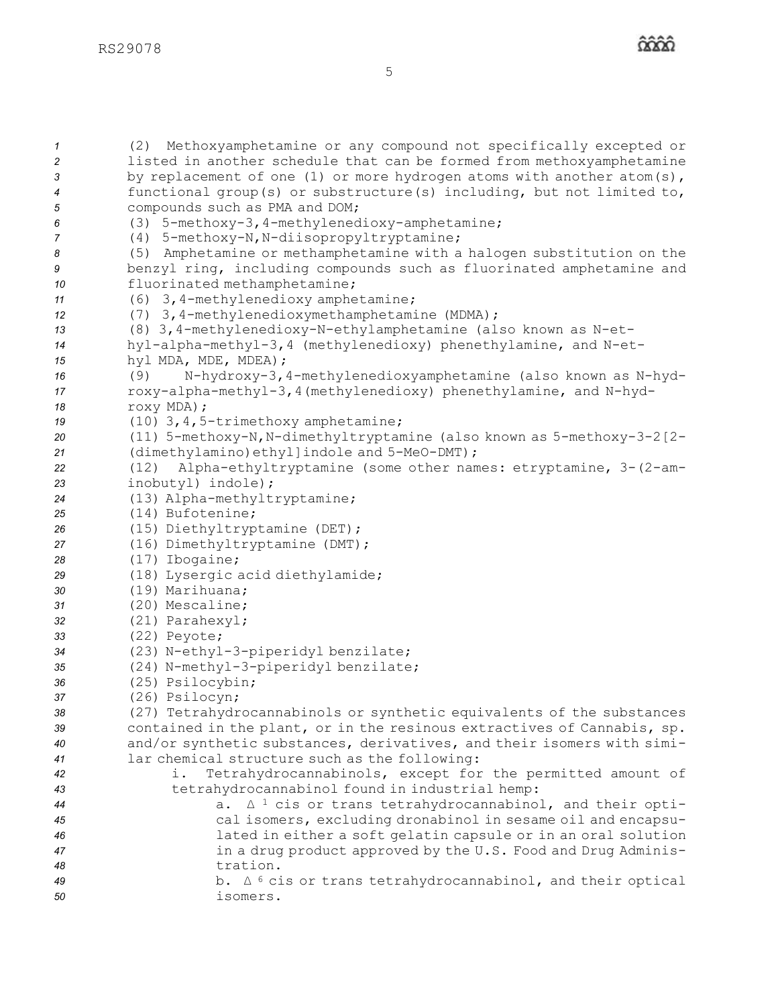(2) Methoxyamphetamine or any compound not specifically excepted or listed in another schedule that can be formed from methoxyamphetamine by replacement of one (1) or more hydrogen atoms with another atom(s), functional group(s) or substructure(s) including, but not limited to, compounds such as PMA and DOM; (3) 5-methoxy-3,4-methylenedioxy-amphetamine; (4) 5-methoxy-N,N-diisopropyltryptamine; (5) Amphetamine or methamphetamine with <sup>a</sup> halogen substitution on the benzyl ring, including compounds such as fluorinated amphetamine and fluorinated methamphetamine; (6) 3,4-methylenedioxy amphetamine; (7) 3,4-methylenedioxymethamphetamine (MDMA); (8) 3,4-methylenedioxy-N-ethylamphetamine (also known as N-et- hyl-alpha-methyl-3,4 (methylenedioxy) phenethylamine, and N-et- hyl MDA, MDE, MDEA); (9) N-hydroxy-3,4-methylenedioxyamphetamine (also known as N-hyd- roxy-alpha-methyl-3,4(methylenedioxy) phenethylamine, and N-hyd- roxy MDA); (10) 3,4,5-trimethoxy amphetamine; (11) 5-methoxy-N,N-dimethyltryptamine (also known as 5-methoxy-3-2[2- (dimethylamino)ethyl]indole and 5-MeO-DMT); (12) Alpha-ethyltryptamine (some other names: etryptamine, 3-(2-am- inobutyl) indole); (13) Alpha-methyltryptamine; (14) Bufotenine; (15) Diethyltryptamine (DET); (16) Dimethyltryptamine (DMT); (17) Ibogaine; (18) Lysergic acid diethylamide; (19) Marihuana; (20) Mescaline; (21) Parahexyl; (22) Peyote; (23) N-ethyl-3-piperidyl benzilate; (24) N-methyl-3-piperidyl benzilate; (25) Psilocybin; (26) Psilocyn; (27) Tetrahydrocannabinols or synthetic equivalents of the substances contained in the plant, or in the resinous extractives of Cannabis, sp. and/or synthetic substances, derivatives, and their isomers with simi- lar chemical structure such as the following: i. Tetrahydrocannabinols, except for the permitted amount of tetrahydrocannabinol found in industrial hemp: a. <sup>∆</sup> <sup>1</sup> cis or trans tetrahydrocannabinol, and their opti- cal isomers, excluding dronabinol in sesame oil and encapsu- lated in either <sup>a</sup> soft gelatin capsule or in an oral solution in <sup>a</sup> drug product approved by the U.S. Food and Drug Adminis-*48* tration. b. <sup>∆</sup> <sup>6</sup> cis or trans tetrahydrocannabinol, and their optical *50* isomers.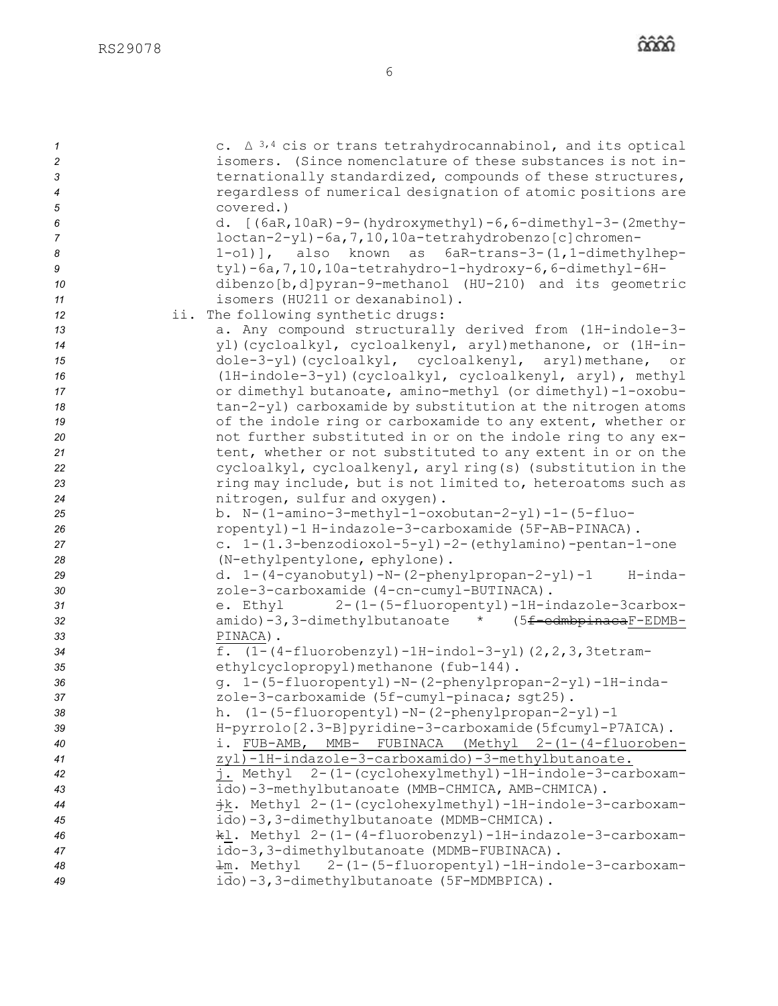| $\mathcal I$   | c. $\Delta^{3,4}$ cis or trans tetrahydrocannabinol, and its optical |
|----------------|----------------------------------------------------------------------|
| 2              | isomers. (Since nomenclature of these substances is not in-          |
| 3              | ternationally standardized, compounds of these structures,           |
| $\overline{4}$ | regardless of numerical designation of atomic positions are          |
|                |                                                                      |
| 5              | covered.)                                                            |
| 6              | d. [(6aR, 10aR) -9-(hydroxymethyl) -6, 6-dimethyl-3-(2methy-         |
| $\overline{7}$ | loctan-2-yl)-6a, 7, 10, 10a-tetrahydrobenzo[c]chromen-               |
| 8              | 1-o1)], also known as 6aR-trans-3-(1,1-dimethylhep-                  |
| 9              | tyl)-6a, 7, 10, 10a-tetrahydro-1-hydroxy-6, 6-dimethyl-6H-           |
| 10             | dibenzo[b,d]pyran-9-methanol (HU-210) and its geometric              |
| 11             | isomers (HU211 or dexanabinol).                                      |
| 12             | ii. The following synthetic drugs:                                   |
| 13             | a. Any compound structurally derived from (1H-indole-3-              |
| 14             | yl) (cycloalkyl, cycloalkenyl, aryl) methanone, or (1H-in-           |
| 15             | dole-3-yl)(cycloalkyl, cycloalkenyl, aryl)methane, or                |
| 16             | (1H-indole-3-yl) (cycloalkyl, cycloalkenyl, aryl), methyl            |
| 17             | or dimethyl butanoate, amino-methyl (or dimethyl)-1-oxobu-           |
| 18             | tan-2-yl) carboxamide by substitution at the nitrogen atoms          |
| 19             | of the indole ring or carboxamide to any extent, whether or          |
| 20             | not further substituted in or on the indole ring to any ex-          |
| 21             | tent, whether or not substituted to any extent in or on the          |
| 22             | cycloalkyl, cycloalkenyl, aryl ring(s) (substitution in the          |
| 23             | ring may include, but is not limited to, heteroatoms such as         |
| 24             | nitrogen, sulfur and oxygen).                                        |
| 25             | b. N-(1-amino-3-methyl-1-oxobutan-2-yl)-1-(5-fluo-                   |
| 26             | ropentyl)-1 H-indazole-3-carboxamide (5F-AB-PINACA).                 |
| 27             | c. 1-(1.3-benzodioxol-5-yl)-2-(ethylamino)-pentan-1-one              |
| 28             | (N-ethylpentylone, ephylone).                                        |
| 29             | d. 1-(4-cyanobutyl)-N-(2-phenylpropan-2-yl)-1<br>H-inda-             |
| 30             | zole-3-carboxamide (4-cn-cumyl-BUTINACA).                            |
| 31             | e. Ethyl 2-(1-(5-fluoropentyl)-1H-indazole-3carbox-                  |
| 32             | amido)-3,3-dimethylbutanoate * (5 <del>f-edmbpinaca</del> F-EDMB-    |
| 33             | PINACA).                                                             |
| 34             | f. $(1-(4-fluorobenzyl)-1H-indol-3-yl)$ $(2, 2, 3, 3tetram-$         |
| 35             | ethylcyclopropyl) methanone (fub-144).                               |
| 36             | g. 1-(5-fluoropentyl)-N-(2-phenylpropan-2-yl)-1H-inda-               |
| 37             | zole-3-carboxamide (5f-cumyl-pinaca; sqt25).                         |
| 38             | h. (1-(5-fluoropentyl)-N-(2-phenylpropan-2-yl)-1                     |
| 39             | H-pyrrolo[2.3-B]pyridine-3-carboxamide(5fcumyl-P7AICA).              |
| 40             | i. FUB-AMB, MMB- FUBINACA (Methyl 2-(1-(4-fluoroben-                 |
| 41             | zyl)-1H-indazole-3-carboxamido)-3-methylbutanoate.                   |
| 42             | j. Methyl 2-(1-(cyclohexylmethyl)-1H-indole-3-carboxam-              |
| 43             | ido)-3-methylbutanoate (MMB-CHMICA, AMB-CHMICA).                     |
| 44             | +k. Methyl 2-(1-(cyclohexylmethyl)-1H-indole-3-carboxam-             |
| 45             | ido)-3,3-dimethylbutanoate (MDMB-CHMICA).                            |
| 46             | kl. Methyl 2-(1-(4-fluorobenzyl)-1H-indazole-3-carboxam-             |
| 47             | ido-3, 3-dimethylbutanoate (MDMB-FUBINACA).                          |
| 48             | +m. Methyl 2-(1-(5-fluoropentyl)-1H-indole-3-carboxam-               |
| 49             | ido)-3,3-dimethylbutanoate (5F-MDMBPICA).                            |
|                |                                                                      |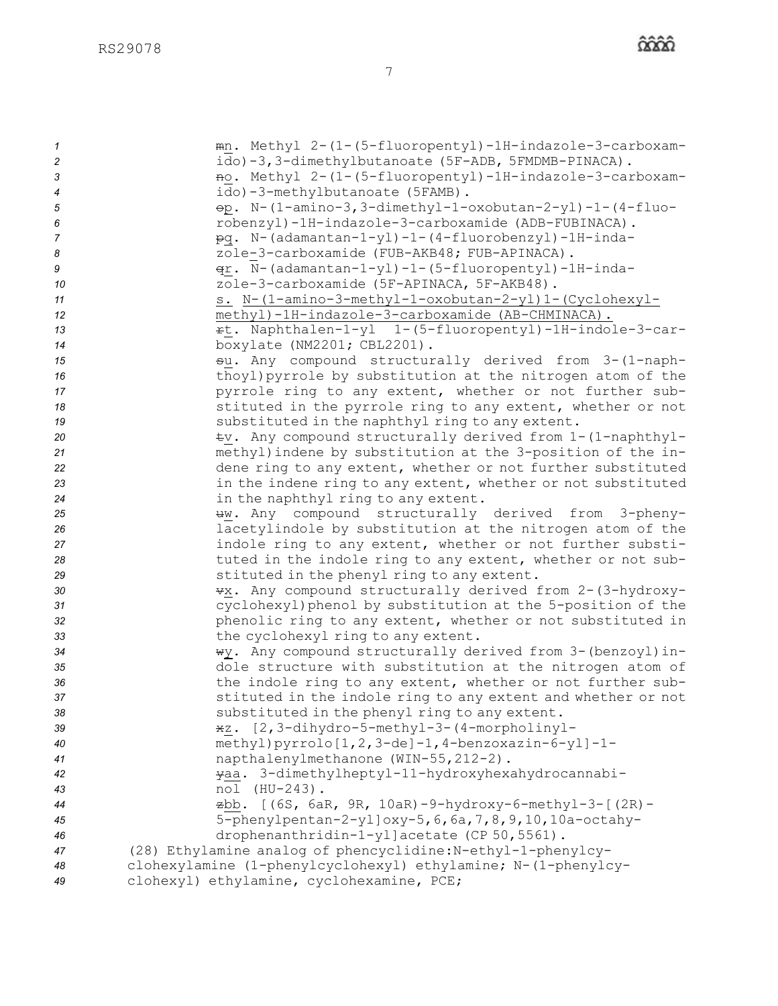| $\mathcal I$   | mn. Methyl 2-(1-(5-fluoropentyl)-1H-indazole-3-carboxam-                                         |
|----------------|--------------------------------------------------------------------------------------------------|
| 2              | ido)-3,3-dimethylbutanoate (5F-ADB, 5FMDMB-PINACA).                                              |
| 3              | no. Methyl 2-(1-(5-fluoropentyl)-1H-indazole-3-carboxam-                                         |
| 4              | ido)-3-methylbutanoate (5FAMB).                                                                  |
| 5              | $\Theta$ . N-(1-amino-3,3-dimethyl-1-oxobutan-2-yl)-1-(4-fluo-                                   |
| 6              | robenzyl)-1H-indazole-3-carboxamide (ADB-FUBINACA).                                              |
| $\overline{7}$ | pq. N-(adamantan-1-yl)-1-(4-fluorobenzyl)-1H-inda-                                               |
| 8<br>9         | zole-3-carboxamide (FUB-AKB48; FUB-APINACA).                                                     |
| 10             | qr. N-(adamantan-1-yl)-1-(5-fluoropentyl)-1H-inda-<br>zole-3-carboxamide (5F-APINACA, 5F-AKB48). |
| 11             | s. N-(1-amino-3-methyl-1-oxobutan-2-yl)1-(Cyclohexyl-                                            |
| 12             | methyl)-1H-indazole-3-carboxamide (AB-CHMINACA).                                                 |
| 13             | rt. Naphthalen-1-yl 1-(5-fluoropentyl)-1H-indole-3-car-                                          |
| 14             | boxylate (NM2201; CBL2201).                                                                      |
| 15             | su. Any compound structurally derived from 3-(1-naph-                                            |
| 16             | thoyl) pyrrole by substitution at the nitrogen atom of the                                       |
| 17             | pyrrole ring to any extent, whether or not further sub-                                          |
| 18             | stituted in the pyrrole ring to any extent, whether or not                                       |
| 19             | substituted in the naphthyl ring to any extent.                                                  |
| 20             | tv. Any compound structurally derived from 1-(1-naphthyl-                                        |
| 21             | methyl) indene by substitution at the 3-position of the in-                                      |
| 22             | dene ring to any extent, whether or not further substituted                                      |
| 23             | in the indene ring to any extent, whether or not substituted                                     |
| 24             | in the naphthyl ring to any extent.                                                              |
| 25             | #w. Any compound structurally derived from 3-pheny-                                              |
| 26             | lacetylindole by substitution at the nitrogen atom of the                                        |
| 27             | indole ring to any extent, whether or not further substi-                                        |
| 28             | tuted in the indole ring to any extent, whether or not sub-                                      |
| 29             | stituted in the phenyl ring to any extent.                                                       |
| 30             | **. Any compound structurally derived from 2-(3-hydroxy-                                         |
| 31             | cyclohexyl) phenol by substitution at the 5-position of the                                      |
| 32             | phenolic ring to any extent, whether or not substituted in                                       |
| 33             | the cyclohexyl ring to any extent.                                                               |
| 34             | wy. Any compound structurally derived from 3-(benzoyl) in-                                       |
| 35             | dole structure with substitution at the nitrogen atom of                                         |
| 36             | the indole ring to any extent, whether or not further sub-                                       |
| 37             | stituted in the indole ring to any extent and whether or not                                     |
| 38             | substituted in the phenyl ring to any extent.                                                    |
| 39             | *z. [2,3-dihydro-5-methyl-3-(4-morpholinyl-                                                      |
| 40<br>41       | methyl)pyrrolo[1,2,3-de]-1,4-benzoxazin-6-yl]-1-<br>napthalenylmethanone (WIN-55, 212-2).        |
| 42             | yaa. 3-dimethylheptyl-11-hydroxyhexahydrocannabi-                                                |
| 43             | nol (HU-243).                                                                                    |
| 44             | zbb. [(6S, 6aR, 9R, 10aR)-9-hydroxy-6-methyl-3-[(2R)-                                            |
| 45             | 5-phenylpentan-2-yl]oxy-5, 6, 6a, 7, 8, 9, 10, 10a-octahy-                                       |
| 46             | drophenanthridin-1-yl]acetate (CP 50, 5561).                                                     |
| 47             | (28) Ethylamine analog of phencyclidine: N-ethyl-1-phenylcy-                                     |
| 48             | clohexylamine (1-phenylcyclohexyl) ethylamine; N-(1-phenylcy-                                    |
| 49             | clohexyl) ethylamine, cyclohexamine, PCE;                                                        |
|                |                                                                                                  |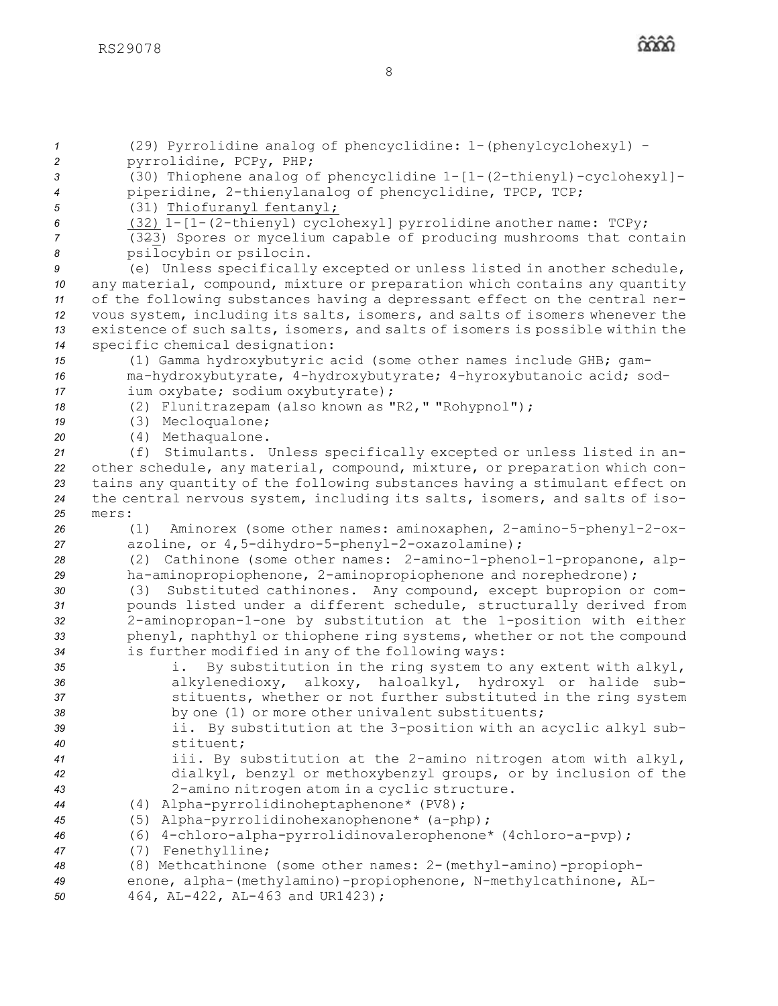

 (29) Pyrrolidine analog of phencyclidine: 1-(phenylcyclohexyl) - pyrrolidine, PCPy, PHP; (30) Thiophene analog of phencyclidine 1-[1-(2-thienyl)-cyclohexyl]- piperidine, 2-thienylanalog of phencyclidine, TPCP, TCP; (31) Thiofuranyl fentanyl; (32) 1-[1-(2-thienyl) cyclohexyl] pyrrolidine another name: TCPy; (323) Spores or mycelium capable of producing mushrooms that contain psilocybin or psilocin. (e) Unless specifically excepted or unless listed in another schedule, any material, compound, mixture or preparation which contains any quantity of the following substances having <sup>a</sup> depressant effect on the central ner- vous system, including its salts, isomers, and salts of isomers whenever the existence of such salts, isomers, and salts of isomers is possible within the specific chemical designation: (1) Gamma hydroxybutyric acid (some other names include GHB; gam- ma-hydroxybutyrate, 4-hydroxybutyrate; 4-hyroxybutanoic acid; sod- ium oxybate; sodium oxybutyrate); (2) Flunitrazepam (also known as "R2," "Rohypnol"); (3) Mecloqualone; (4) Methaqualone. (f) Stimulants. Unless specifically excepted or unless listed in an- other schedule, any material, compound, mixture, or preparation which con- tains any quantity of the following substances having <sup>a</sup> stimulant effect on the central nervous system, including its salts, isomers, and salts of iso-*25* mers: (1) Aminorex (some other names: aminoxaphen, 2-amino-5-phenyl-2-ox- azoline, or 4,5-dihydro-5-phenyl-2-oxazolamine); (2) Cathinone (some other names: 2-amino-1-phenol-1-propanone, alp- ha-aminopropiophenone, 2-aminopropiophenone and norephedrone); (3) Substituted cathinones. Any compound, except bupropion or com- pounds listed under <sup>a</sup> different schedule, structurally derived from 2-aminopropan-1-one by substitution at the 1-position with either phenyl, naphthyl or thiophene ring systems, whether or not the compound is further modified in any of the following ways: i. By substitution in the ring system to any extent with alkyl, alkylenedioxy, alkoxy, haloalkyl, hydroxyl or halide sub- stituents, whether or not further substituted in the ring system by one (1) or more other univalent substituents; ii. By substitution at the 3-position with an acyclic alkyl sub- stituent; iii. By substitution at the 2-amino nitrogen atom with alkyl, dialkyl, benzyl or methoxybenzyl groups, or by inclusion of the 2-amino nitrogen atom in <sup>a</sup> cyclic structure. (4) Alpha-pyrrolidinoheptaphenone\* (PV8); (5) Alpha-pyrrolidinohexanophenone\* (a-php); (6) 4-chloro-alpha-pyrrolidinovalerophenone\* (4chloro-a-pvp); (7) Fenethylline; (8) Methcathinone (some other names: 2-(methyl-amino)-propioph- enone, alpha-(methylamino)-propiophenone, N-methylcathinone, AL-464, AL-422, AL-463 and UR1423);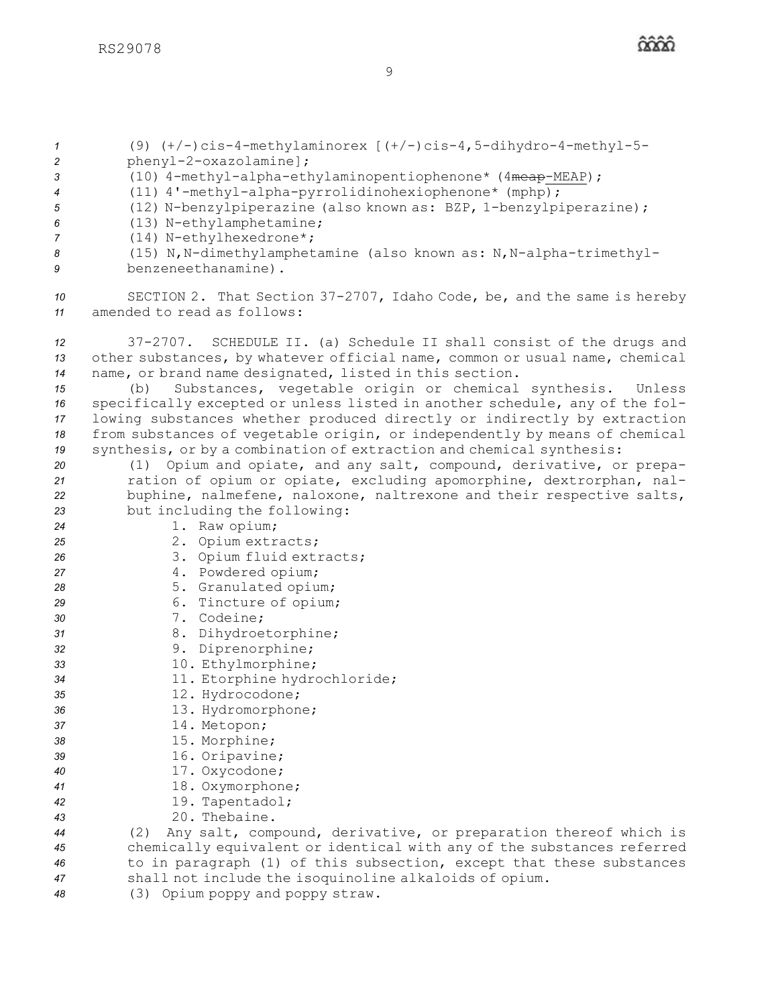(9)  $(+/-)$ cis-4-methylaminorex  $[ (+/-)$ cis-4,5-dihydro-4-methyl-5- phenyl-2-oxazolamine]; (10) 4-methyl-alpha-ethylaminopentiophenone\* (4meap-MEAP); (11) 4'-methyl-alpha-pyrrolidinohexiophenone\* (mphp); (12) N-benzylpiperazine (also known as: BZP, 1-benzylpiperazine); (13) N-ethylamphetamine; (14) N-ethylhexedrone\*; (15) N,N-dimethylamphetamine (also known as: N,N-alpha-trimethyl- benzeneethanamine). SECTION 2. That Section 37-2707, Idaho Code, be, and the same is hereby amended to read as follows: 37-2707. SCHEDULE II. (a) Schedule II shall consist of the drugs and other substances, by whatever official name, common or usual name, chemical name, or brand name designated, listed in this section. (b) Substances, vegetable origin or chemical synthesis. Unless specifically excepted or unless listed in another schedule, any of the fol- lowing substances whether produced directly or indirectly by extraction from substances of vegetable origin, or independently by means of chemical synthesis, or by <sup>a</sup> combination of extraction and chemical synthesis: (1) Opium and opiate, and any salt, compound, derivative, or prepa- ration of opium or opiate, excluding apomorphine, dextrorphan, nal- buphine, nalmefene, naloxone, naltrexone and their respective salts, but including the following: 1. Raw opium; 2. Opium extracts; 3. Opium fluid extracts; 4. Powdered opium; 5. Granulated opium; 6. Tincture of opium; 7. Codeine; 8. Dihydroetorphine; 9. Diprenorphine; 10. Ethylmorphine; 11. Etorphine hydrochloride; 12. Hydrocodone; 13. Hydromorphone; 14. Metopon; 15. Morphine; 16. Oripavine; 17. Oxycodone; 18. Oxymorphone; 19. Tapentadol; 20. Thebaine. (2) Any salt, compound, derivative, or preparation thereof which is chemically equivalent or identical with any of the substances referred to in paragraph (1) of this subsection, except that these substances shall not include the isoquinoline alkaloids of opium. (3) Opium poppy and poppy straw.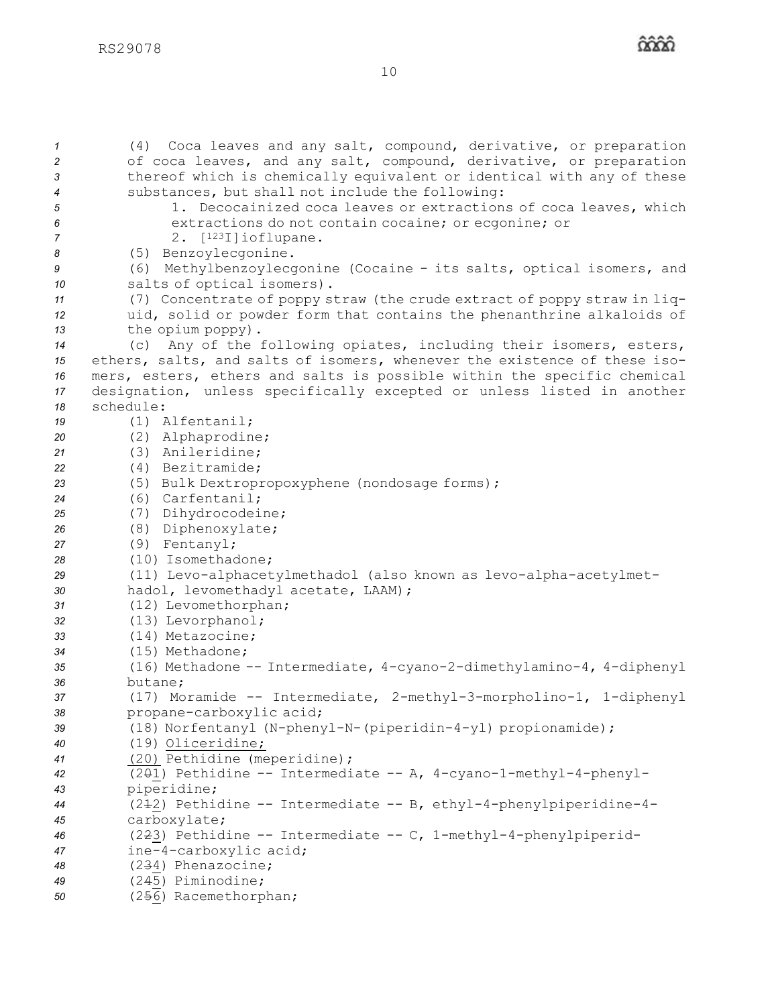(4) Coca leaves and any salt, compound, derivative, or preparation of coca leaves, and any salt, compound, derivative, or preparation thereof which is chemically equivalent or identical with any of these substances, but shall not include the following: 1. Decocainized coca leaves or extractions of coca leaves, which extractions do not contain cocaine; or ecgonine; or 2. [<sup>123</sup>I]ioflupane. (5) Benzoylecgonine. (6) Methylbenzoylecgonine (Cocaine - its salts, optical isomers, and salts of optical isomers). (7) Concentrate of poppy straw (the crude extract of poppy straw in liq- uid, solid or powder form that contains the phenanthrine alkaloids of the opium poppy). (c) Any of the following opiates, including their isomers, esters, ethers, salts, and salts of isomers, whenever the existence of these iso- mers, esters, ethers and salts is possible within the specific chemical designation, unless specifically excepted or unless listed in another schedule: (1) Alfentanil; (2) Alphaprodine; (3) Anileridine; (4) Bezitramide; (5) Bulk Dextropropoxyphene (nondosage forms); (6) Carfentanil; (7) Dihydrocodeine; (8) Diphenoxylate; (9) Fentanyl; (10) Isomethadone; (11) Levo-alphacetylmethadol (also known as levo-alpha-acetylmet- hadol, levomethadyl acetate, LAAM); (12) Levomethorphan; (13) Levorphanol; (14) Metazocine; (15) Methadone; (16) Methadone -- Intermediate, 4-cyano-2-dimethylamino-4, 4-diphenyl *36* butane; (17) Moramide -- Intermediate, 2-methyl-3-morpholino-1, 1-diphenyl propane-carboxylic acid; (18) Norfentanyl (N-phenyl-N-(piperidin-4-yl) propionamide); (19) Oliceridine; (20) Pethidine (meperidine); (201) Pethidine -- Intermediate -- A, 4-cyano-1-methyl-4-phenyl- piperidine; (212) Pethidine -- Intermediate -- B, ethyl-4-phenylpiperidine-4- carboxylate; (223) Pethidine -- Intermediate -- C, 1-methyl-4-phenylpiperid- ine-4-carboxylic acid; (234) Phenazocine; (245) Piminodine; (256) Racemethorphan;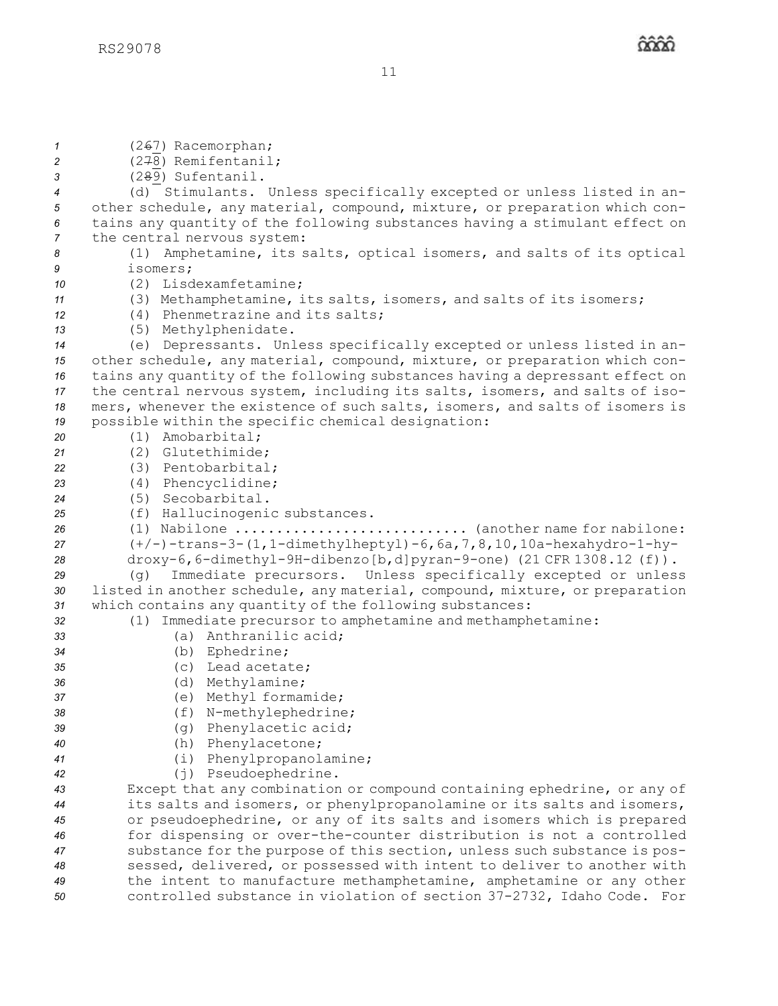(267) Racemorphan; (278) Remifentanil; (289) Sufentanil. (d) Stimulants. Unless specifically excepted or unless listed in an- other schedule, any material, compound, mixture, or preparation which con- tains any quantity of the following substances having <sup>a</sup> stimulant effect on the central nervous system: (1) Amphetamine, its salts, optical isomers, and salts of its optical *9* isomers; (2) Lisdexamfetamine; (3) Methamphetamine, its salts, isomers, and salts of its isomers; (4) Phenmetrazine and its salts; (5) Methylphenidate. (e) Depressants. Unless specifically excepted or unless listed in an- other schedule, any material, compound, mixture, or preparation which con- tains any quantity of the following substances having <sup>a</sup> depressant effect on the central nervous system, including its salts, isomers, and salts of iso- mers, whenever the existence of such salts, isomers, and salts of isomers is possible within the specific chemical designation: (1) Amobarbital; (2) Glutethimide; (3) Pentobarbital; (4) Phencyclidine; (5) Secobarbital. (f) Hallucinogenic substances. (1) Nabilone ............................ (another name for nabilone: (+/-)-trans-3-(1,1-dimethylheptyl)-6,6a,7,8,10,10a-hexahydro-1-hy- droxy-6,6-dimethyl-9H-dibenzo[b,d]pyran-9-one) (21 CFR 1308.12 (f)). (g) Immediate precursors. Unless specifically excepted or unless listed in another schedule, any material, compound, mixture, or preparation which contains any quantity of the following substances: (1) Immediate precursor to amphetamine and methamphetamine: (a) Anthranilic acid; (b) Ephedrine; (c) Lead acetate; (d) Methylamine; (e) Methyl formamide; (f) N-methylephedrine; (g) Phenylacetic acid; (h) Phenylacetone; (i) Phenylpropanolamine; (j) Pseudoephedrine. Except that any combination or compound containing ephedrine, or any of its salts and isomers, or phenylpropanolamine or its salts and isomers, or pseudoephedrine, or any of its salts and isomers which is prepared for dispensing or over-the-counter distribution is not <sup>a</sup> controlled substance for the purpose of this section, unless such substance is pos- sessed, delivered, or possessed with intent to deliver to another with the intent to manufacture methamphetamine, amphetamine or any other controlled substance in violation of section 37-2732, Idaho Code. For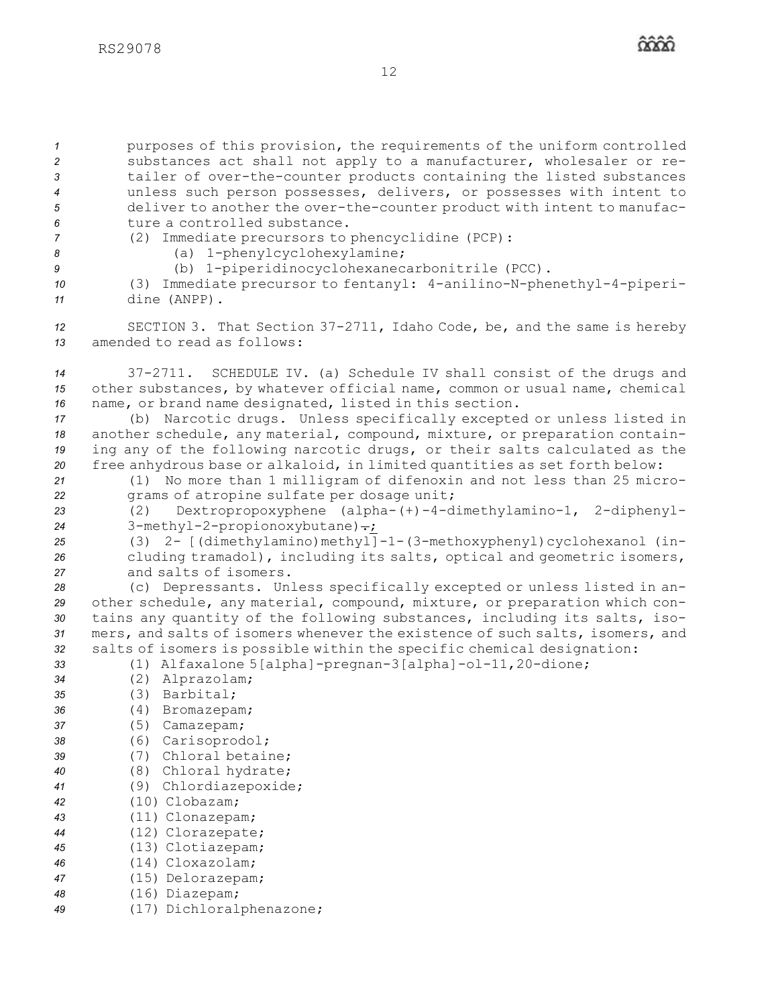purposes of this provision, the requirements of the uniform controlled substances act shall not apply to <sup>a</sup> manufacturer, wholesaler or re- tailer of over-the-counter products containing the listed substances unless such person possesses, delivers, or possesses with intent to deliver to another the over-the-counter product with intent to manufac-ture a controlled substance.

*<sup>7</sup>* (2) Immediate precursors to phencyclidine (PCP): *<sup>8</sup>* (a) 1-phenylcyclohexylamine;

*<sup>9</sup>* (b) 1-piperidinocyclohexanecarbonitrile (PCC).

*<sup>10</sup>* (3) Immediate precursor to fentanyl: 4-anilino-N-phenethyl-4-piperi-*<sup>11</sup>* dine (ANPP).

*<sup>12</sup>* SECTION 3. That Section 37-2711, Idaho Code, be, and the same is hereby *13* amended to read as follows:

*<sup>14</sup>* 37-2711. SCHEDULE IV. (a) Schedule IV shall consist of the drugs and *<sup>15</sup>* other substances, by whatever official name, common or usual name, chemical *<sup>16</sup>* name, or brand name designated, listed in this section.

 (b) Narcotic drugs. Unless specifically excepted or unless listed in another schedule, any material, compound, mixture, or preparation contain- ing any of the following narcotic drugs, or their salts calculated as the free anhydrous base or alkaloid, in limited quantities as set forth below:

*<sup>21</sup>* (1) No more than 1 milligram of difenoxin and not less than 25 micro-*<sup>22</sup>* grams of atropine sulfate per dosage unit;

*<sup>23</sup>* (2) Dextropropoxyphene (alpha-(+)-4-dimethylamino-1, 2-diphenyl-24 3-methyl-2-propionoxybutane).

25 (3) 2- [(dimethylamino)methyl]-1-(3-methoxyphenyl)cyclohexanol (in-*<sup>26</sup>* cluding tramadol), including its salts, optical and geometric isomers, *27* and salts of isomers.

 (c) Depressants. Unless specifically excepted or unless listed in an- other schedule, any material, compound, mixture, or preparation which con- tains any quantity of the following substances, including its salts, iso- mers, and salts of isomers whenever the existence of such salts, isomers, and salts of isomers is possible within the specific chemical designation:

*<sup>33</sup>* (1) Alfaxalone 5[alpha]-pregnan-3[alpha]-ol-11,20-dione;

- *<sup>34</sup>* (2) Alprazolam;
- *35* (3) Barbital;
- *<sup>36</sup>* (4) Bromazepam;
- *<sup>37</sup>* (5) Camazepam;
- *<sup>38</sup>* (6) Carisoprodol;
- *39* (7) Chloral betaine;
- *<sup>40</sup>* (8) Chloral hydrate;
- *<sup>41</sup>* (9) Chlordiazepoxide;
- *<sup>42</sup>* (10) Clobazam;
- *<sup>43</sup>* (11) Clonazepam;
- *<sup>44</sup>* (12) Clorazepate;
- *<sup>45</sup>* (13) Clotiazepam;
- *46* (14) Cloxazolam;
- *<sup>47</sup>* (15) Delorazepam;
- *<sup>48</sup>* (16) Diazepam;
- *<sup>49</sup>* (17) Dichloralphenazone;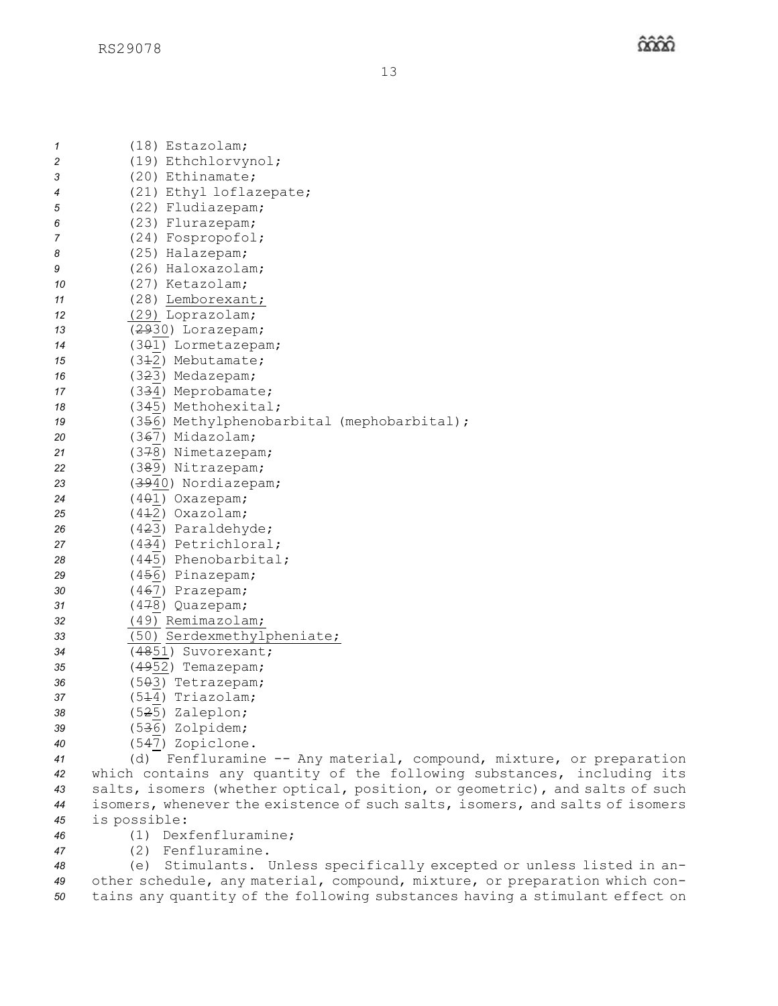| 1  | (18) Estazolam;                                                        |
|----|------------------------------------------------------------------------|
| 2  | (19) Ethchlorvynol;                                                    |
| 3  | (20) Ethinamate;                                                       |
| 4  | (21) Ethyl loflazepate;                                                |
| 5  | (22) Fludiazepam;                                                      |
| 6  | (23) Flurazepam;                                                       |
| 7  | (24) Fospropofol;                                                      |
| 8  | (25) Halazepam;                                                        |
| 9  | (26) Haloxazolam;                                                      |
| 10 | (27) Ketazolam;                                                        |
| 11 | (28) Lemborexant;                                                      |
| 12 | (29) Loprazolam;                                                       |
| 13 | (2930) Lorazepam;                                                      |
| 14 | (301) Lormetazepam;                                                    |
| 15 | (342) Mebutamate;                                                      |
| 16 | (323) Medazepam;                                                       |
| 17 | (334) Meprobamate;                                                     |
| 18 | (345) Methohexital;                                                    |
| 19 | (356) Methylphenobarbital (mephobarbital);                             |
| 20 | (367) Midazolam;                                                       |
| 21 | (378) Nimetazepam;                                                     |
| 22 | (389) Nitrazepam;                                                      |
| 23 | (3940) Nordiazepam;                                                    |
| 24 | $(401)$ Oxazepam;                                                      |
| 25 | $(4+2)$ Oxazolam;                                                      |
| 26 | (423) Paraldehyde;                                                     |
| 27 | (434) Petrichloral;                                                    |
| 28 | (445) Phenobarbital;                                                   |
| 29 | (456) Pinazepam;                                                       |
| 30 | (467) Prazepam;                                                        |
| 31 | (478) Quazepam;                                                        |
| 32 | (49) Remimazolam;                                                      |
| 33 | (50) Serdexmethylpheniate;                                             |
| 34 | (4851) Suvorexant;                                                     |
| 35 | (4952) Temazepam;                                                      |
| 36 | (503) Tetrazepam;                                                      |
| 37 | (5 <del>1</del> 4) Triazolam;                                          |
| 38 | (5 <del>2</del> 5) Zaleplon;                                           |
| 39 | (5 <del>3</del> 6) Zolpidem;                                           |
| 40 | (547) Zopiclone.                                                       |
| 41 | (d)<br>Fenfluramine -- Any material, compound, mixture, or preparation |

- *<sup>42</sup>* which contains any quantity of the following substances, including its *<sup>43</sup>* salts, isomers (whether optical, position, or geometric), and salts of such *<sup>44</sup>* isomers, whenever the existence of such salts, isomers, and salts of isomers *<sup>45</sup>* is possible:
- *46* (1) Dexfenfluramine;
- *<sup>47</sup>* (2) Fenfluramine.

*<sup>48</sup>* (e) Stimulants. Unless specifically excepted or unless listed in an-*<sup>49</sup>* other schedule, any material, compound, mixture, or preparation which con-*<sup>50</sup>* tains any quantity of the following substances having <sup>a</sup> stimulant effect on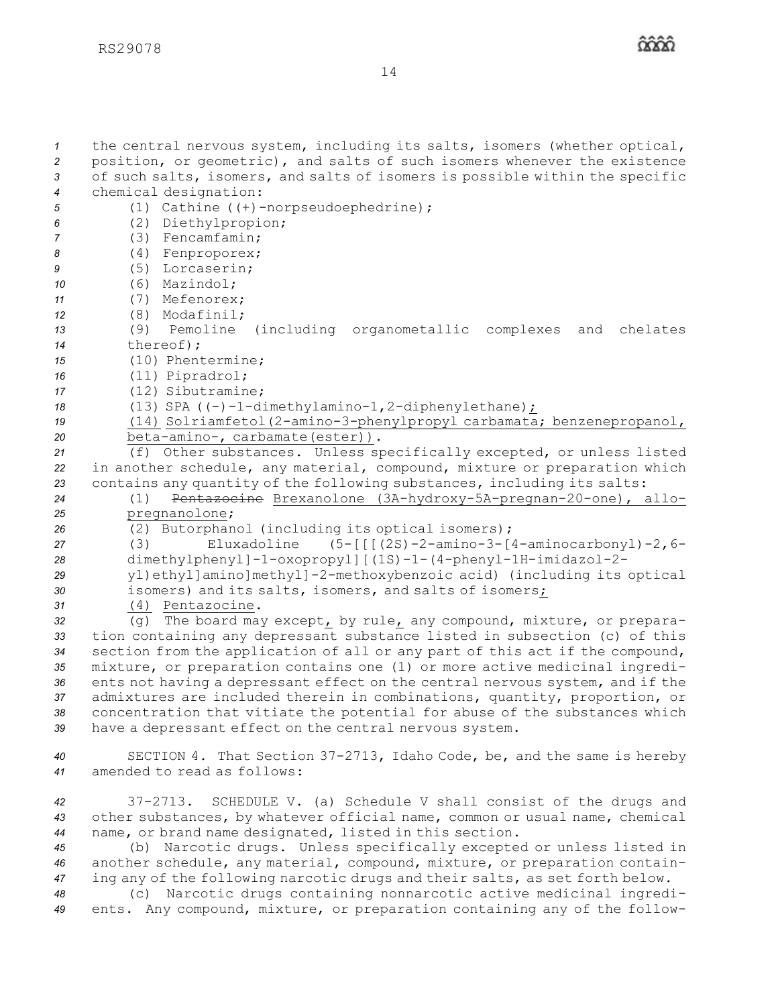| $\mathcal I$<br>$\overline{c}$<br>3<br>$\boldsymbol{4}$<br>5<br>6<br>$\overline{7}$<br>8<br>9<br>10<br>11<br>12 | the central nervous system, including its salts, isomers (whether optical,<br>position, or geometric), and salts of such isomers whenever the existence<br>of such salts, isomers, and salts of isomers is possible within the specific<br>chemical designation:<br>(1) Cathine $((+)$ -norpseudoephedrine);<br>(2) Diethylpropion;<br>(3) Fencamfamin;<br>(4) Fenproporex;<br>(5) Lorcaserin;<br>$(6)$ Mazindol;<br>(7) Mefenorex;<br>(8) Modafinil; |
|-----------------------------------------------------------------------------------------------------------------|-------------------------------------------------------------------------------------------------------------------------------------------------------------------------------------------------------------------------------------------------------------------------------------------------------------------------------------------------------------------------------------------------------------------------------------------------------|
| 13                                                                                                              | (9) Pemoline (including organometallic complexes<br>and<br>chelates                                                                                                                                                                                                                                                                                                                                                                                   |
| 14                                                                                                              | thereof);                                                                                                                                                                                                                                                                                                                                                                                                                                             |
| 15                                                                                                              | (10) Phentermine;                                                                                                                                                                                                                                                                                                                                                                                                                                     |
| 16                                                                                                              | (11) Pipradrol;                                                                                                                                                                                                                                                                                                                                                                                                                                       |
| 17                                                                                                              | (12) Sibutramine;                                                                                                                                                                                                                                                                                                                                                                                                                                     |
| 18                                                                                                              | (13) SPA $((-)-1-dimethylamino-1,2-diphenylethane)$ ;                                                                                                                                                                                                                                                                                                                                                                                                 |
| 19                                                                                                              | (14) Solriamfetol (2-amino-3-phenylpropyl carbamata; benzenepropanol,                                                                                                                                                                                                                                                                                                                                                                                 |
| 20<br>21                                                                                                        | beta-amino-, carbamate(ester)).<br>(f) Other substances. Unless specifically excepted, or unless listed                                                                                                                                                                                                                                                                                                                                               |
| 22                                                                                                              | in another schedule, any material, compound, mixture or preparation which                                                                                                                                                                                                                                                                                                                                                                             |
| 23                                                                                                              | contains any quantity of the following substances, including its salts:                                                                                                                                                                                                                                                                                                                                                                               |
| 24                                                                                                              | Pentazocine Brexanolone (3A-hydroxy-5A-pregnan-20-one), allo-<br>(1)                                                                                                                                                                                                                                                                                                                                                                                  |
| 25                                                                                                              | pregnanolone;                                                                                                                                                                                                                                                                                                                                                                                                                                         |
| 26                                                                                                              | (2) Butorphanol (including its optical isomers);                                                                                                                                                                                                                                                                                                                                                                                                      |
| 27                                                                                                              | Eluxadoline $(5 - [[(2S) - 2 - amino - 3 - [4 - aminocarbonyl) - 2, 6 -$<br>(3)                                                                                                                                                                                                                                                                                                                                                                       |
| 28                                                                                                              | dimethylphenyl]-1-oxopropyl][(1S)-1-(4-phenyl-1H-imidazol-2-                                                                                                                                                                                                                                                                                                                                                                                          |
| 29                                                                                                              | yl) ethyl]amino]methyl]-2-methoxybenzoic acid) (including its optical                                                                                                                                                                                                                                                                                                                                                                                 |
| 30                                                                                                              | isomers) and its salts, isomers, and salts of isomers;                                                                                                                                                                                                                                                                                                                                                                                                |
| 31                                                                                                              | (4) Pentazocine.                                                                                                                                                                                                                                                                                                                                                                                                                                      |
| 32<br>33                                                                                                        | The board may except, by rule, any compound, mixture, or prepara-<br>(q)<br>tion containing any depressant substance listed in subsection (c) of this                                                                                                                                                                                                                                                                                                 |
| 34                                                                                                              | section from the application of all or any part of this act if the compound,                                                                                                                                                                                                                                                                                                                                                                          |
| 35                                                                                                              | mixture, or preparation contains one (1) or more active medicinal ingredi-                                                                                                                                                                                                                                                                                                                                                                            |
| 36                                                                                                              | ents not having a depressant effect on the central nervous system, and if the                                                                                                                                                                                                                                                                                                                                                                         |
| 37                                                                                                              | admixtures are included therein in combinations, quantity, proportion, or                                                                                                                                                                                                                                                                                                                                                                             |
| 38                                                                                                              | concentration that vitiate the potential for abuse of the substances which                                                                                                                                                                                                                                                                                                                                                                            |
| 39                                                                                                              | have a depressant effect on the central nervous system.                                                                                                                                                                                                                                                                                                                                                                                               |
| 40                                                                                                              | SECTION 4. That Section 37-2713, Idaho Code, be, and the same is hereby                                                                                                                                                                                                                                                                                                                                                                               |
| 41                                                                                                              | amended to read as follows:                                                                                                                                                                                                                                                                                                                                                                                                                           |
|                                                                                                                 |                                                                                                                                                                                                                                                                                                                                                                                                                                                       |
| 42                                                                                                              | $37 - 2713$ .<br>SCHEDULE V. (a) Schedule V shall consist of the drugs and                                                                                                                                                                                                                                                                                                                                                                            |
| 43                                                                                                              | other substances, by whatever official name, common or usual name, chemical                                                                                                                                                                                                                                                                                                                                                                           |
| 44                                                                                                              | name, or brand name designated, listed in this section.                                                                                                                                                                                                                                                                                                                                                                                               |
| 45                                                                                                              | (b) Narcotic drugs. Unless specifically excepted or unless listed in                                                                                                                                                                                                                                                                                                                                                                                  |
| 46                                                                                                              | another schedule, any material, compound, mixture, or preparation contain-                                                                                                                                                                                                                                                                                                                                                                            |
| 47                                                                                                              | ing any of the following narcotic drugs and their salts, as set forth below.                                                                                                                                                                                                                                                                                                                                                                          |
| 48<br>49                                                                                                        | (c) Narcotic drugs containing nonnarcotic active medicinal ingredi-<br>ents. Any compound, mixture, or preparation containing any of the follow-                                                                                                                                                                                                                                                                                                      |
|                                                                                                                 |                                                                                                                                                                                                                                                                                                                                                                                                                                                       |